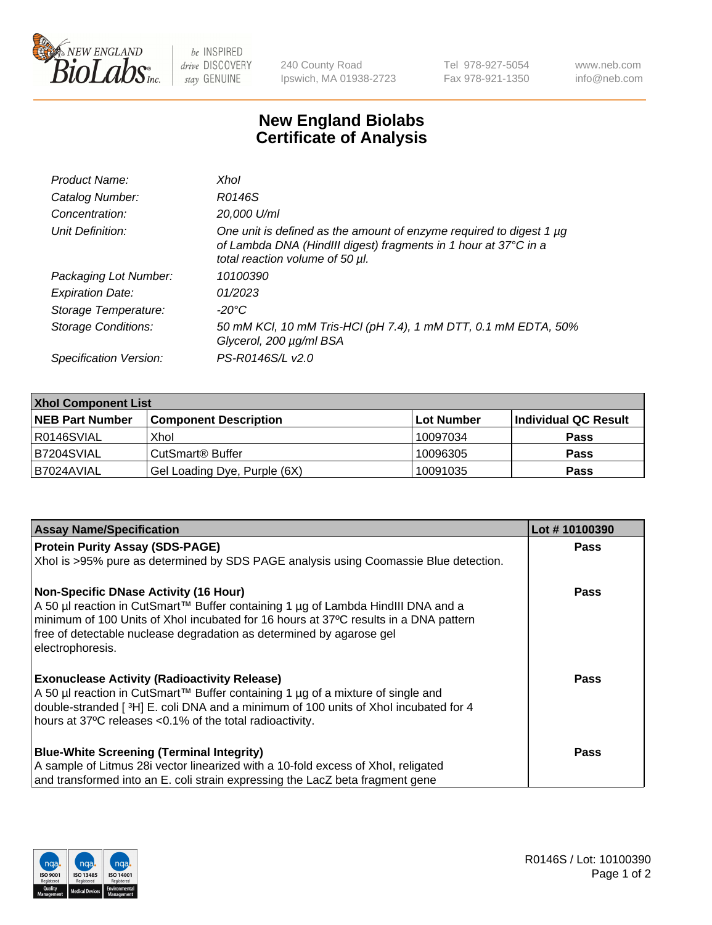

 $be$  INSPIRED drive DISCOVERY stay GENUINE

240 County Road Ipswich, MA 01938-2723 Tel 978-927-5054 Fax 978-921-1350 www.neb.com info@neb.com

## **New England Biolabs Certificate of Analysis**

| Product Name:              | Xhol                                                                                                                                                                      |
|----------------------------|---------------------------------------------------------------------------------------------------------------------------------------------------------------------------|
| Catalog Number:            | R0146S                                                                                                                                                                    |
| Concentration:             | 20,000 U/ml                                                                                                                                                               |
| Unit Definition:           | One unit is defined as the amount of enzyme required to digest 1 µg<br>of Lambda DNA (HindIII digest) fragments in 1 hour at 37°C in a<br>total reaction volume of 50 µl. |
| Packaging Lot Number:      | 10100390                                                                                                                                                                  |
| <b>Expiration Date:</b>    | 01/2023                                                                                                                                                                   |
| Storage Temperature:       | -20°C                                                                                                                                                                     |
| <b>Storage Conditions:</b> | 50 mM KCl, 10 mM Tris-HCl (pH 7.4), 1 mM DTT, 0.1 mM EDTA, 50%<br>Glycerol, 200 µg/ml BSA                                                                                 |
| Specification Version:     | PS-R0146S/L v2.0                                                                                                                                                          |

| <b>Xhol Component List</b> |                              |              |                      |  |  |
|----------------------------|------------------------------|--------------|----------------------|--|--|
| <b>NEB Part Number</b>     | <b>Component Description</b> | l Lot Number | Individual QC Result |  |  |
| I R0146SVIAL               | Xhol                         | 10097034     | <b>Pass</b>          |  |  |
| IB7204SVIAL                | CutSmart® Buffer             | 10096305     | <b>Pass</b>          |  |  |
| B7024AVIAL                 | Gel Loading Dye, Purple (6X) | 10091035     | <b>Pass</b>          |  |  |

| <b>Assay Name/Specification</b>                                                                                                                                                                                                                                                                                      | Lot #10100390 |
|----------------------------------------------------------------------------------------------------------------------------------------------------------------------------------------------------------------------------------------------------------------------------------------------------------------------|---------------|
| <b>Protein Purity Assay (SDS-PAGE)</b>                                                                                                                                                                                                                                                                               | <b>Pass</b>   |
| Xhol is >95% pure as determined by SDS PAGE analysis using Coomassie Blue detection.                                                                                                                                                                                                                                 |               |
| <b>Non-Specific DNase Activity (16 Hour)</b><br>A 50 µl reaction in CutSmart™ Buffer containing 1 µg of Lambda HindIII DNA and a<br>minimum of 100 Units of Xhol incubated for 16 hours at 37°C results in a DNA pattern<br>free of detectable nuclease degradation as determined by agarose gel<br>electrophoresis. | Pass          |
| <b>Exonuclease Activity (Radioactivity Release)</b><br>A 50 µl reaction in CutSmart™ Buffer containing 1 µg of a mixture of single and<br>double-stranded [3H] E. coli DNA and a minimum of 100 units of Xhol incubated for 4<br>hours at 37°C releases <0.1% of the total radioactivity.                            | Pass          |
| <b>Blue-White Screening (Terminal Integrity)</b><br>A sample of Litmus 28i vector linearized with a 10-fold excess of Xhol, religated<br>and transformed into an E. coli strain expressing the LacZ beta fragment gene                                                                                               | Pass          |